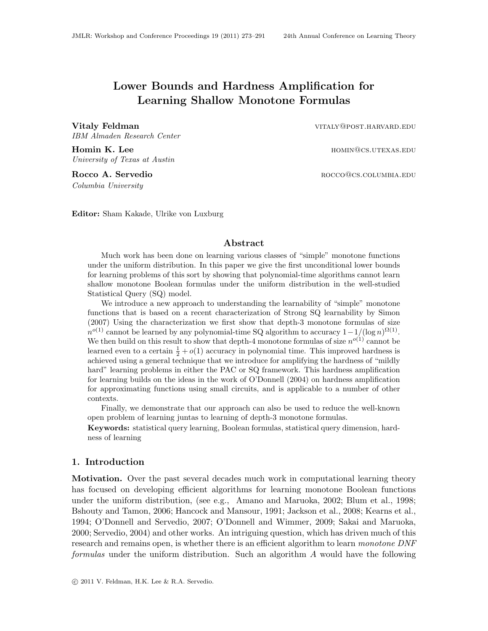# <span id="page-0-0"></span>Lower Bounds and Hardness Amplification for Learning Shallow Monotone Formulas

Vitaly Feldman vitaly entry the vitaly extended vitaly extensive vitaly extended vitaly extended vitaly extended vitaly extended vitaly extended vitaly extended vitaly extended vitaly extended vitaly extended vitaly extend IBM Almaden Research Center

**Homin K. Lee** hominal and the hominal example of the hominal example of the hominal example of the hominal example of the hominal example of the hominal example of the hominal example of the hominal example of the hominal University of Texas at Austin

Columbia University

Rocco A. Servedio **Rocco Canadia Rocco**@cs.columbia.edu

Editor: Sham Kakade, Ulrike von Luxburg

# Abstract

Much work has been done on learning various classes of "simple" monotone functions under the uniform distribution. In this paper we give the first unconditional lower bounds for learning problems of this sort by showing that polynomial-time algorithms cannot learn shallow monotone Boolean formulas under the uniform distribution in the well-studied Statistical Query (SQ) model.

We introduce a new approach to understanding the learnability of "simple" monotone functions that is based on a recent characterization of Strong SQ learnability by [Simon](#page-18-1) [\(2007\)](#page-18-1) Using the characterization we first show that depth-3 monotone formulas of size  $n^{o(1)}$  cannot be learned by any polynomial-time SQ algorithm to accuracy  $1-1/(\log n)^{\Omega(1)}$ . We then build on this result to show that depth-4 monotone formulas of size  $n^{o(1)}$  cannot be learned even to a certain  $\frac{1}{2} + o(1)$  accuracy in polynomial time. This improved hardness is achieved using a general technique that we introduce for amplifying the hardness of "mildly hard" learning problems in either the PAC or SQ framework. This hardness amplification for learning builds on the ideas in the work of [O'Donnell](#page-17-0) [\(2004\)](#page-17-0) on hardness amplification for approximating functions using small circuits, and is applicable to a number of other contexts.

Finally, we demonstrate that our approach can also be used to reduce the well-known open problem of learning juntas to learning of depth-3 monotone formulas.

Keywords: statistical query learning, Boolean formulas, statistical query dimension, hardness of learning

#### <span id="page-0-1"></span>1. Introduction

Motivation. Over the past several decades much work in computational learning theory has focused on developing efficient algorithms for learning monotone Boolean functions under the uniform distribution, (see e.g., [Amano and Maruoka, 2002;](#page-16-0) [Blum et al., 1998;](#page-16-1) [Bshouty and Tamon, 2006;](#page-16-2) [Hancock and Mansour, 1991;](#page-17-1) [Jackson et al., 2008;](#page-17-2) [Kearns et al.,](#page-17-3) [1994;](#page-17-3) [O'Donnell and Servedio, 2007;](#page-17-4) [O'Donnell and Wimmer, 2009;](#page-18-2) [Sakai and Maruoka,](#page-18-3) [2000;](#page-18-3) [Servedio, 2004\)](#page-18-4) and other works. An intriguing question, which has driven much of this research and remains open, is whether there is an efficient algorithm to learn *monotone DNF* formulas under the uniform distribution. Such an algorithm A would have the following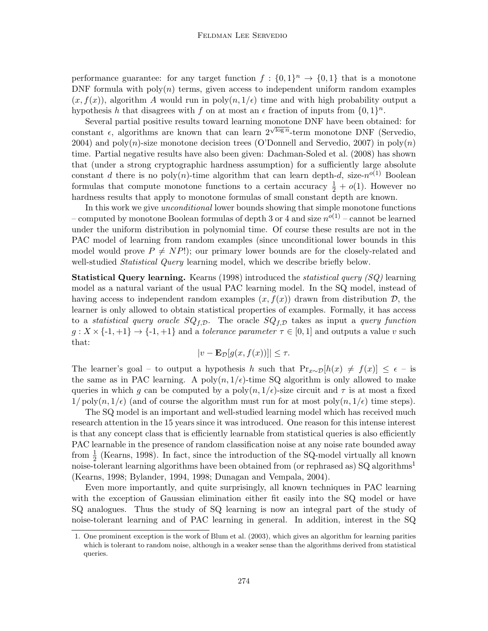performance guarantee: for any target function  $f: \{0,1\}^n \to \{0,1\}$  that is a monotone DNF formula with  $poly(n)$  terms, given access to independent uniform random examples  $(x, f(x))$ , algorithm A would run in poly $(n, 1/\epsilon)$  time and with high probability output a hypothesis h that disagrees with f on at most an  $\epsilon$  fraction of inputs from  $\{0,1\}^n$ .

Several partial positive results toward learning monotone DNF have been obtained: for constant  $\epsilon$ , algorithms are known that can learn  $2^{\sqrt{\log n}}$ -term monotone DNF [\(Servedio,](#page-18-4) [2004\)](#page-18-4) and poly(n)-size monotone decision trees [\(O'Donnell and Servedio, 2007\)](#page-17-4) in poly(n) time. Partial negative results have also been given: [Dachman-Soled et al.](#page-16-3) [\(2008\)](#page-16-3) has shown that (under a strong cryptographic hardness assumption) for a sufficiently large absolute constant d there is no poly $(n)$ -time algorithm that can learn depth-d, size- $n^{o(1)}$  Boolean formulas that compute monotone functions to a certain accuracy  $\frac{1}{2} + o(1)$ . However no hardness results that apply to monotone formulas of small constant depth are known.

In this work we give unconditional lower bounds showing that simple monotone functions – computed by monotone Boolean formulas of depth 3 or 4 and size  $n^{o(1)}$  – cannot be learned under the uniform distribution in polynomial time. Of course these results are not in the PAC model of learning from random examples (since unconditional lower bounds in this model would prove  $P \neq NP!$ ; our primary lower bounds are for the closely-related and well-studied *Statistical Query* learning model, which we describe briefly below.

**Statistical Query learning.** [Kearns](#page-17-5) [\(1998\)](#page-17-5) introduced the *statistical query (SQ)* learning model as a natural variant of the usual PAC learning model. In the SQ model, instead of having access to independent random examples  $(x, f(x))$  drawn from distribution  $\mathcal{D}$ , the learner is only allowed to obtain statistical properties of examples. Formally, it has access to a statistical query oracle  $SQ_{f,\mathcal{D}}$ . The oracle  $SQ_{f,\mathcal{D}}$  takes as input a query function  $g: X \times \{-1, +1\} \rightarrow \{-1, +1\}$  and a *tolerance parameter*  $\tau \in [0, 1]$  and outputs a value v such that:

$$
|v - \mathbf{E}_{\mathcal{D}}[g(x, f(x))]| \le \tau.
$$

The learner's goal – to output a hypothesis h such that  $Pr_{x \sim \mathcal{D}}[h(x) \neq f(x)] \leq \epsilon$  – is the same as in PAC learning. A poly $(n, 1/\epsilon)$ -time SQ algorithm is only allowed to make queries in which g can be computed by a poly $(n, 1/\epsilon)$ -size circuit and  $\tau$  is at most a fixed  $1/\text{poly}(n, 1/\epsilon)$  (and of course the algorithm must run for at most poly $(n, 1/\epsilon)$  time steps).

The SQ model is an important and well-studied learning model which has received much research attention in the 15 years since it was introduced. One reason for this intense interest is that any concept class that is efficiently learnable from statistical queries is also efficiently PAC learnable in the presence of random classification noise at any noise rate bounded away from  $\frac{1}{2}$  [\(Kearns, 1998\)](#page-17-5). In fact, since the introduction of the SQ-model virtually all known noise-tolerant learning algorithms have been obtained from (or rephrased as) SQ algorithms<sup>[1](#page-1-0)</sup> [\(Kearns, 1998;](#page-17-5) [Bylander, 1994,](#page-16-4) [1998;](#page-16-5) [Dunagan and Vempala, 2004\)](#page-16-6).

Even more importantly, and quite surprisingly, all known techniques in PAC learning with the exception of Gaussian elimination either fit easily into the SQ model or have SQ analogues. Thus the study of SQ learning is now an integral part of the study of noise-tolerant learning and of PAC learning in general. In addition, interest in the SQ

<span id="page-1-0"></span><sup>1.</sup> One prominent exception is the work of [Blum et al.](#page-16-7) [\(2003\)](#page-16-7), which gives an algorithm for learning parities which is tolerant to random noise, although in a weaker sense than the algorithms derived from statistical queries.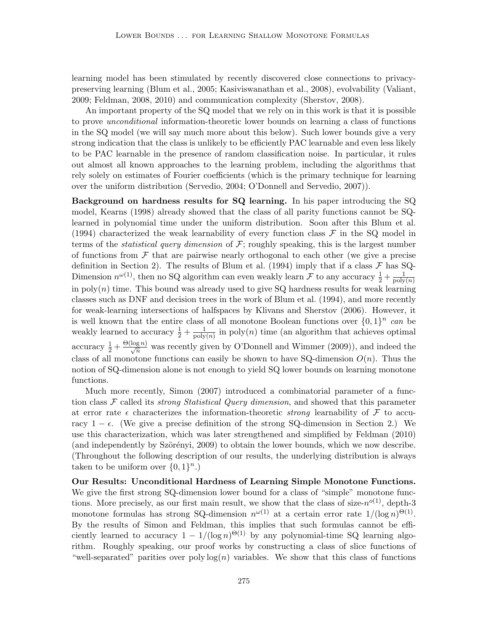learning model has been stimulated by recently discovered close connections to privacypreserving learning [\(Blum et al., 2005;](#page-16-8) [Kasiviswanathan et al., 2008\)](#page-17-6), evolvability [\(Valiant,](#page-18-5) [2009;](#page-18-5) [Feldman, 2008,](#page-17-7) [2010\)](#page-17-8) and communication complexity [\(Sherstov, 2008\)](#page-18-6).

An important property of the SQ model that we rely on in this work is that it is possible to prove unconditional information-theoretic lower bounds on learning a class of functions in the SQ model (we will say much more about this below). Such lower bounds give a very strong indication that the class is unlikely to be efficiently PAC learnable and even less likely to be PAC learnable in the presence of random classification noise. In particular, it rules out almost all known approaches to the learning problem, including the algorithms that rely solely on estimates of Fourier coefficients (which is the primary technique for learning over the uniform distribution [\(Servedio, 2004;](#page-18-4) [O'Donnell and Servedio, 2007\)](#page-17-4)).

Background on hardness results for SQ learning. In his paper introducing the SQ model, [Kearns](#page-17-5) [\(1998\)](#page-17-5) already showed that the class of all parity functions cannot be SQlearned in polynomial time under the uniform distribution. Soon after this [Blum et al.](#page-16-9) [\(1994\)](#page-16-9) characterized the weak learnability of every function class  $\mathcal F$  in the SQ model in terms of the *statistical query dimension* of  $\mathcal{F}$ ; roughly speaking, this is the largest number of functions from  $\mathcal F$  that are pairwise nearly orthogonal to each other (we give a precise definition in Section [2\)](#page-5-0). The results of [Blum et al.](#page-16-9) [\(1994\)](#page-16-9) imply that if a class  $\mathcal F$  has SQ-Dimension  $n^{\omega(1)}$ , then no SQ algorithm can even weakly learn F to any accuracy  $\frac{1}{2} + \frac{1}{\text{poly}}$  $\mathrm{poly}(n)$ in  $poly(n)$  time. This bound was already used to give SQ hardness results for weak learning classes such as DNF and decision trees in the work of [Blum et al.](#page-16-9) [\(1994\)](#page-16-9), and more recently for weak-learning intersections of halfspaces by [Klivans and Sherstov](#page-17-9) [\(2006\)](#page-17-9). However, it is well known that the entire class of all monotone Boolean functions over  $\{0,1\}^n$  can be weakly learned to accuracy  $\frac{1}{2} + \frac{1}{\text{poly}}$  $\frac{1}{\text{poly}(n)}$  in poly $(n)$  time (an algorithm that achieves optimal accuracy  $\frac{1}{2} + \frac{\Theta(\log n)}{\sqrt{n}}$  was recently given by [O'Donnell and Wimmer](#page-18-2) [\(2009\)](#page-18-2)), and indeed the class of all monotone functions can easily be shown to have SQ-dimension  $O(n)$ . Thus the notion of SQ-dimension alone is not enough to yield SQ lower bounds on learning monotone functions.

Much more recently, [Simon](#page-18-1) [\(2007\)](#page-18-1) introduced a combinatorial parameter of a function class  $\mathcal F$  called its *strong Statistical Query dimension*, and showed that this parameter at error rate  $\epsilon$  characterizes the information-theoretic *strong* learnability of  $\mathcal F$  to accuracy  $1 - \epsilon$ . (We give a precise definition of the strong SQ-dimension in Section [2.](#page-5-0)) We use this characterization, which was later strengthened and simplified by [Feldman](#page-17-8) [\(2010\)](#page-17-8) (and independently by Szörényi, 2009) to obtain the lower bounds, which we now describe. (Throughout the following description of our results, the underlying distribution is always taken to be uniform over  $\{0,1\}^n$ .)

Our Results: Unconditional Hardness of Learning Simple Monotone Functions. We give the first strong SQ-dimension lower bound for a class of "simple" monotone functions. More precisely, as our first main result, we show that the class of size- $n^{o(1)}$ , depth-3 monotone formulas has strong SQ-dimension  $n^{\omega(1)}$  at a certain error rate  $1/(\log n)^{\Theta(1)}$ . By the results of Simon and Feldman, this implies that such formulas cannot be efficiently learned to accuracy  $1 - 1/(\log n)^{\Theta(1)}$  by any polynomial-time SQ learning algorithm. Roughly speaking, our proof works by constructing a class of slice functions of "well-separated" parities over poly  $log(n)$  variables. We show that this class of functions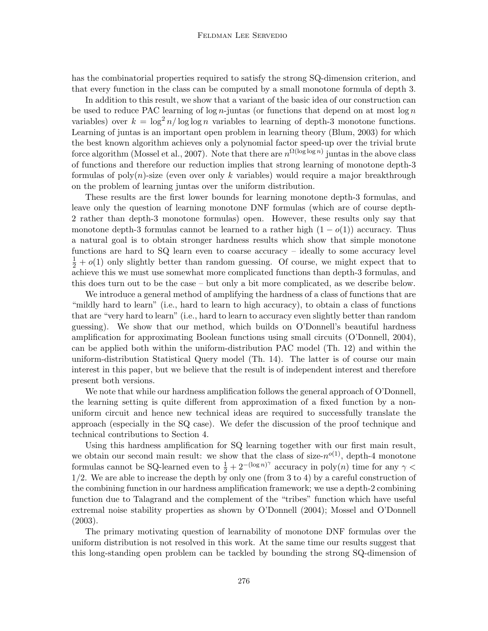has the combinatorial properties required to satisfy the strong SQ-dimension criterion, and that every function in the class can be computed by a small monotone formula of depth 3.

In addition to this result, we show that a variant of the basic idea of our construction can be used to reduce PAC learning of  $\log n$ -juntas (or functions that depend on at most  $\log n$ variables) over  $k = \log^2 n / \log \log n$  variables to learning of depth-3 monotone functions. Learning of juntas is an important open problem in learning theory [\(Blum, 2003\)](#page-16-10) for which the best known algorithm achieves only a polynomial factor speed-up over the trivial brute force algorithm [\(Mossel et al., 2007\)](#page-17-10). Note that there are  $n^{\Omega(\log \log n)}$  juntas in the above class of functions and therefore our reduction implies that strong learning of monotone depth-3 formulas of  $poly(n)$ -size (even over only k variables) would require a major breakthrough on the problem of learning juntas over the uniform distribution.

These results are the first lower bounds for learning monotone depth-3 formulas, and leave only the question of learning monotone DNF formulas (which are of course depth-2 rather than depth-3 monotone formulas) open. However, these results only say that monotone depth-3 formulas cannot be learned to a rather high  $(1 - o(1))$  accuracy. Thus a natural goal is to obtain stronger hardness results which show that simple monotone functions are hard to SQ learn even to coarse accuracy – ideally to some accuracy level  $\frac{1}{2} + o(1)$  only slightly better than random guessing. Of course, we might expect that to achieve this we must use somewhat more complicated functions than depth-3 formulas, and this does turn out to be the case – but only a bit more complicated, as we describe below.

We introduce a general method of amplifying the hardness of a class of functions that are "mildly hard to learn" (i.e., hard to learn to high accuracy), to obtain a class of functions that are "very hard to learn" (i.e., hard to learn to accuracy even slightly better than random guessing). We show that our method, which builds on O'Donnell's beautiful hardness amplification for approximating Boolean functions using small circuits [\(O'Donnell, 2004\)](#page-17-0), can be applied both within the uniform-distribution PAC model (Th. [12\)](#page-12-0) and within the uniform-distribution Statistical Query model (Th. [14\)](#page-13-0). The latter is of course our main interest in this paper, but we believe that the result is of independent interest and therefore present both versions.

We note that while our hardness amplification follows the general approach of O'Donnell, the learning setting is quite different from approximation of a fixed function by a nonuniform circuit and hence new technical ideas are required to successfully translate the approach (especially in the SQ case). We defer the discussion of the proof technique and technical contributions to Section [4.](#page-9-0)

Using this hardness amplification for SQ learning together with our first main result, we obtain our second main result: we show that the class of size- $n^{o(1)}$ , depth-4 monotone formulas cannot be SQ-learned even to  $\frac{1}{2} + 2^{-(\log n)^{\gamma}}$  accuracy in poly $(n)$  time for any  $\gamma$ 1/2. We are able to increase the depth by only one (from 3 to 4) by a careful construction of the combining function in our hardness amplification framework; we use a depth-2 combining function due to Talagrand and the complement of the "tribes" function which have useful extremal noise stability properties as shown by [O'Donnell](#page-17-0) [\(2004\)](#page-17-0); [Mossel and O'Donnell](#page-17-11) [\(2003\)](#page-17-11).

The primary motivating question of learnability of monotone DNF formulas over the uniform distribution is not resolved in this work. At the same time our results suggest that this long-standing open problem can be tackled by bounding the strong SQ-dimension of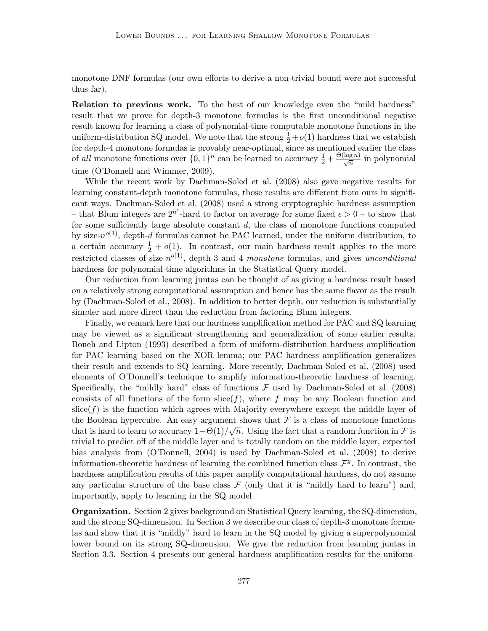monotone DNF formulas (our own efforts to derive a non-trivial bound were not successful thus far).

Relation to previous work. To the best of our knowledge even the "mild hardness" result that we prove for depth-3 monotone formulas is the first unconditional negative result known for learning a class of polynomial-time computable monotone functions in the uniform-distribution SQ model. We note that the strong  $\frac{1}{2} + o(1)$  hardness that we establish for depth-4 monotone formulas is provably near-optimal, since as mentioned earlier the class of all monotone functions over  $\{0,1\}^n$  can be learned to accuracy  $\frac{1}{2} + \frac{\Theta(\log n)}{\sqrt{n}}$  in polynomial time [\(O'Donnell and Wimmer, 2009\)](#page-18-2).

While the recent work by [Dachman-Soled et al.](#page-16-3) [\(2008\)](#page-16-3) also gave negative results for learning constant-depth monotone formulas, those results are different from ours in significant ways. [Dachman-Soled et al.](#page-16-3) [\(2008\)](#page-16-3) used a strong cryptographic hardness assumption – that Blum integers are  $2^{n^{\epsilon}}$ -hard to factor on average for some fixed  $\epsilon > 0$  – to show that for some sufficiently large absolute constant  $d$ , the class of monotone functions computed by size- $n^{o(1)}$ , depth-d formulas cannot be PAC learned, under the uniform distribution, to a certain accuracy  $\frac{1}{2} + o(1)$ . In contrast, our main hardness result applies to the more restricted classes of size- $n^{o(1)}$ , depth-3 and 4 monotone formulas, and gives unconditional hardness for polynomial-time algorithms in the Statistical Query model.

Our reduction from learning juntas can be thought of as giving a hardness result based on a relatively strong computational assumption and hence has the same flavor as the result by [\(Dachman-Soled et al., 2008\)](#page-16-3). In addition to better depth, our reduction is substantially simpler and more direct than the reduction from factoring Blum integers.

Finally, we remark here that our hardness amplification method for PAC and SQ learning may be viewed as a significant strengthening and generalization of some earlier results. [Boneh and Lipton](#page-16-11) [\(1993\)](#page-16-11) described a form of uniform-distribution hardness amplification for PAC learning based on the XOR lemma; our PAC hardness amplification generalizes their result and extends to SQ learning. More recently, [Dachman-Soled et al.](#page-16-3) [\(2008\)](#page-16-3) used elements of O'Donnell's technique to amplify information-theoretic hardness of learning. Specifically, the "mildly hard" class of functions  $\mathcal F$  used by [Dachman-Soled et al.](#page-16-3) [\(2008\)](#page-16-3) consists of all functions of the form  $\text{slice}(f)$ , where f may be any Boolean function and  $\text{slice}(f)$  is the function which agrees with Majority everywhere except the middle layer of the Boolean hypercube. An easy argument shows that  $\mathcal F$  is a class of monotone functions that is hard to learn to accuracy  $1-\Theta(1)/\sqrt{n}$ . Using the fact that a random function in F is trivial to predict off of the middle layer and is totally random on the middle layer, expected bias analysis from [\(O'Donnell, 2004\)](#page-17-0) is used by [Dachman-Soled et al.](#page-16-3) [\(2008\)](#page-16-3) to derive information-theoretic hardness of learning the combined function class  $\mathcal{F}^g$ . In contrast, the hardness amplification results of this paper amplify computational hardness, do not assume any particular structure of the base class  $\mathcal F$  (only that it is "mildly hard to learn") and, importantly, apply to learning in the SQ model.

Organization. Section [2](#page-5-0) gives background on Statistical Query learning, the SQ-dimension, and the strong SQ-dimension. In Section [3](#page-6-0) we describe our class of depth-3 monotone formulas and show that it is "mildly" hard to learn in the SQ model by giving a superpolynomial lower bound on its strong SQ-dimension. We give the reduction from learning juntas in Section [3.3.](#page-8-0) Section [4](#page-9-0) presents our general hardness amplification results for the uniform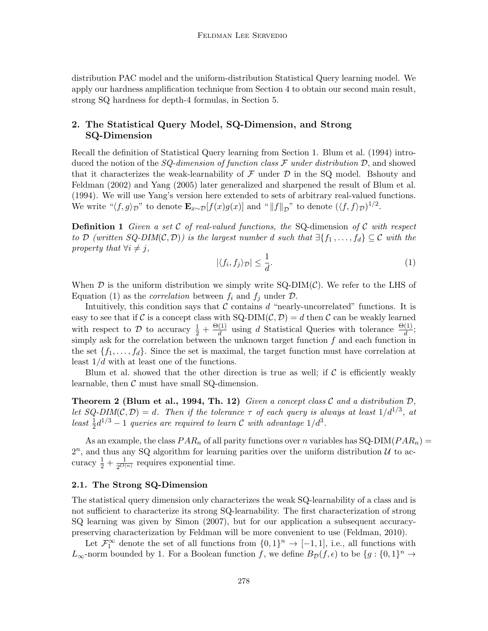distribution PAC model and the uniform-distribution Statistical Query learning model. We apply our hardness amplification technique from Section [4](#page-9-0) to obtain our second main result, strong SQ hardness for depth-4 formulas, in Section [5.](#page-15-0)

# <span id="page-5-0"></span>2. The Statistical Query Model, SQ-Dimension, and Strong SQ-Dimension

Recall the definition of Statistical Query learning from Section [1.](#page-0-1) [Blum et al.](#page-16-9) [\(1994\)](#page-16-9) introduced the notion of the SQ-dimension of function class  $\mathcal F$  under distribution  $\mathcal D$ , and showed that it characterizes the weak-learnability of  $\mathcal F$  under  $\mathcal D$  in the SQ model. [Bshouty and](#page-16-12) [Feldman](#page-16-12) [\(2002\)](#page-16-12) and [Yang](#page-18-8) [\(2005\)](#page-18-8) later generalized and sharpened the result of [Blum et al.](#page-16-9) [\(1994\)](#page-16-9). We will use Yang's version here extended to sets of arbitrary real-valued functions. We write " $\langle f, g \rangle_{\mathcal{D}}$ " to denote  $\mathbf{E}_{x \sim \mathcal{D}}[f(x)g(x)]$  and "  $||f||_{\mathcal{D}}$ " to denote  $(\langle f, f \rangle_{\mathcal{D}})^{1/2}$ .

**Definition 1** Given a set C of real-valued functions, the SQ-dimension of C with respect to D (written SQ-DIM(C, D)) is the largest number d such that  $\exists \{f_1, \ldots, f_d\} \subseteq \mathcal{C}$  with the property that  $\forall i \neq j$ ,

<span id="page-5-1"></span>
$$
|\langle f_i, f_j \rangle_{\mathcal{D}}| \le \frac{1}{d}.\tag{1}
$$

When  $\mathcal D$  is the uniform distribution we simply write SQ-DIM( $\mathcal C$ ). We refer to the LHS of Equation [\(1\)](#page-5-1) as the *correlation* between  $f_i$  and  $f_j$  under  $\mathcal{D}$ .

Intuitively, this condition says that  $\mathcal C$  contains  $d$  "nearly-uncorrelated" functions. It is easy to see that if C is a concept class with  $SQ-DIM(C, D) = d$  then C can be weakly learned with respect to  $\mathcal{D}$  to accuracy  $\frac{1}{2} + \frac{\Theta(1)}{d}$  $\frac{(1)}{d}$  using d Statistical Queries with tolerance  $\frac{\Theta(1)}{d}$ ; simply ask for the correlation between the unknown target function  $f$  and each function in the set  $\{f_1, \ldots, f_d\}$ . Since the set is maximal, the target function must have correlation at least  $1/d$  with at least one of the functions.

Blum et al. showed that the other direction is true as well; if  $\mathcal C$  is efficiently weakly learnable, then  $\mathcal C$  must have small SQ-dimension.

**Theorem 2 [\(Blum et al., 1994,](#page-16-9) Th. 12)** Given a concept class  $\mathcal{C}$  and a distribution  $\mathcal{D}$ , let SQ-DIM(C, D) = d. Then if the tolerance  $\tau$  of each query is always at least  $1/d^{1/3}$ , at least  $\frac{1}{2}d^{1/3} - 1$  queries are required to learn C with advantage  $1/d^3$ .

As an example, the class  $PAR_n$  of all parity functions over n variables has  $SQ-DIM(PAR_n)$  =  $2^n$ , and thus any SQ algorithm for learning parities over the uniform distribution  $\mathcal U$  to accuracy  $\frac{1}{2} + \frac{1}{2^{O(}}$  $\frac{1}{2^{O(n)}}$  requires exponential time.

# 2.1. The Strong SQ-Dimension

The statistical query dimension only characterizes the weak SQ-learnability of a class and is not sufficient to characterize its strong SQ-learnability. The first characterization of strong SQ learning was given by [Simon](#page-18-1) [\(2007\)](#page-18-1), but for our application a subsequent accuracypreserving characterization by Feldman will be more convenient to use [\(Feldman, 2010\)](#page-17-8).

Let  $\mathcal{F}_1^{\infty}$  denote the set of all functions from  $\{0,1\}^n \to [-1,1]$ , i.e., all functions with L<sub>∞</sub>-norm bounded by 1. For a Boolean function f, we define  $B_{\mathcal{D}}(f, \epsilon)$  to be  $\{g: \{0,1\}^n \to$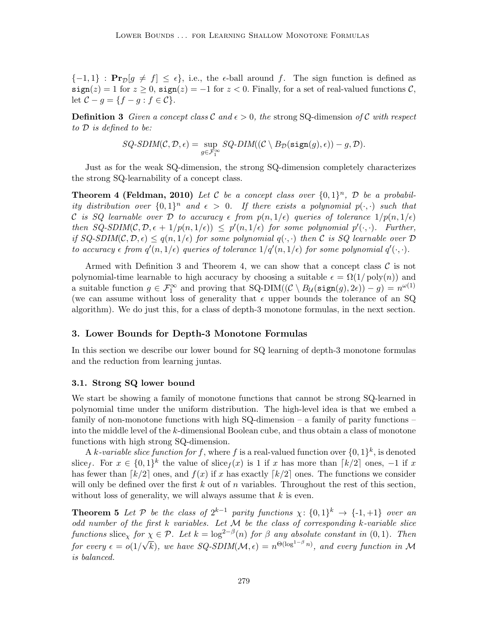${-1, 1}$ :  $\Pr_{\mathcal{D}}[g \neq f] \leq \epsilon$ , i.e., the  $\epsilon$ -ball around f. The sign function is defined as sign(z) = 1 for  $z \ge 0$ , sign(z) = -1 for  $z < 0$ . Finally, for a set of real-valued functions C, let  $C - g = \{f - g : f \in C\}.$ 

<span id="page-6-1"></span>**Definition 3** Given a concept class C and  $\epsilon > 0$ , the strong SQ-dimension of C with respect to D is defined to be:

$$
SQ\text{-}\text{SDIM}(\mathcal{C}, \mathcal{D}, \epsilon) = \sup_{g \in \mathcal{F}_1^\infty} SQ\text{-}\text{DIM}((\mathcal{C} \setminus B_{\mathcal{D}}(\texttt{sign}(g), \epsilon)) - g, \mathcal{D}).
$$

Just as for the weak SQ-dimension, the strong SQ-dimension completely characterizes the strong SQ-learnability of a concept class.

<span id="page-6-2"></span>**Theorem 4 [\(Feldman, 2010\)](#page-17-8)** Let C be a concept class over  $\{0,1\}^n$ , D be a probability distribution over  $\{0,1\}^n$  and  $\epsilon > 0$ . If there exists a polynomial  $p(\cdot, \cdot)$  such that C is SQ learnable over D to accuracy  $\epsilon$  from  $p(n, 1/\epsilon)$  queries of tolerance  $1/p(n, 1/\epsilon)$ then  $SQ\text{-}SDIM(C, \mathcal{D}, \epsilon + 1/p(n, 1/\epsilon)) \leq p'(n, 1/\epsilon)$  for some polynomial  $p'(\cdot, \cdot)$ . Further, if  $SQ\text{-}SDIM(C, \mathcal{D}, \epsilon) \leq q(n, 1/\epsilon)$  for some polynomial  $q(\cdot, \cdot)$  then C is SQ learnable over  $\mathcal D$ to accuracy  $\epsilon$  from  $q'(n,1/\epsilon)$  queries of tolerance  $1/q'(n,1/\epsilon)$  for some polynomial  $q'(\cdot,\cdot)$ .

Armed with Definition [3](#page-6-1) and Theorem [4,](#page-6-2) we can show that a concept class  $\mathcal C$  is not polynomial-time learnable to high accuracy by choosing a suitable  $\epsilon = \Omega(1/\text{poly}(n))$  and a suitable function  $g \in \mathcal{F}_1^{\infty}$  and proving that  $SQ-DIM((\mathcal{C} \setminus B_{\mathcal{U}}(\text{sign}(g), 2\epsilon)) - g) = n^{\omega(1)}$ (we can assume without loss of generality that  $\epsilon$  upper bounds the tolerance of an SQ algorithm). We do just this, for a class of depth-3 monotone formulas, in the next section.

#### <span id="page-6-0"></span>3. Lower Bounds for Depth-3 Monotone Formulas

In this section we describe our lower bound for SQ learning of depth-3 monotone formulas and the reduction from learning juntas.

#### 3.1. Strong SQ lower bound

We start be showing a family of monotone functions that cannot be strong SQ-learned in polynomial time under the uniform distribution. The high-level idea is that we embed a family of non-monotone functions with high  $SQ$ -dimension – a family of parity functions – into the middle level of the k-dimensional Boolean cube, and thus obtain a class of monotone functions with high strong SQ-dimension.

A k-variable slice function for f, where f is a real-valued function over  $\{0,1\}^k$ , is denoted slice<sub>f</sub>. For  $x \in \{0,1\}^k$  the value of slice<sub>f</sub>(x) is 1 if x has more than  $\lceil k/2 \rceil$  ones, -1 if x has fewer than  $\lceil k/2 \rceil$  ones, and  $f(x)$  if x has exactly  $\lceil k/2 \rceil$  ones. The functions we consider will only be defined over the first  $k$  out of  $n$  variables. Throughout the rest of this section, without loss of generality, we will always assume that  $k$  is even.

**Theorem 5** Let P be the class of  $2^{k-1}$  parity functions  $\chi: \{0,1\}^k \to \{-1,+1\}$  over an odd number of the first  $k$  variables. Let  $M$  be the class of corresponding  $k$ -variable slice functions slice<sub> $\chi$ </sub> for  $\chi \in \mathcal{P}$ . Let  $k = \log^{2-\beta}(n)$  for  $\beta$  any absolute constant in  $(0, 1)$ . Then for every  $\epsilon = o(1/$  $'$  ∕  $\overline{k}$ ), we have SQ-SDIM( $\mathcal{M}, \epsilon$ ) =  $n^{\Theta(\log^{1-\beta} n)}$ , and every function in M is balanced.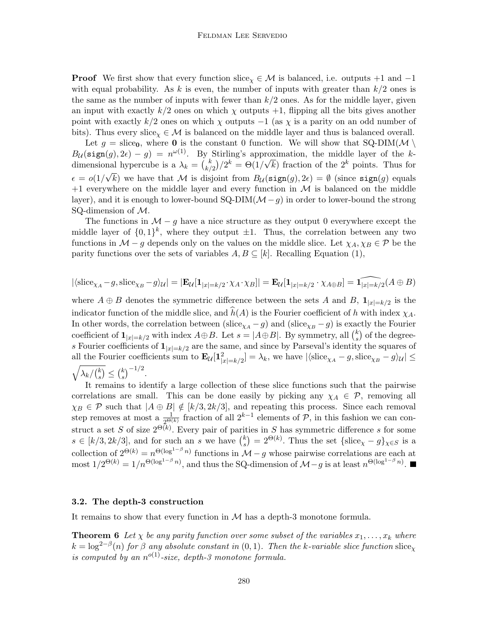#### Feldman Lee Servedio

**Proof** We first show that every function slice<sub> $\chi$ </sub>  $\in$  *M* is balanced, i.e. outputs +1 and -1 with equal probability. As k is even, the number of inputs with greater than  $k/2$  ones is the same as the number of inputs with fewer than  $k/2$  ones. As for the middle layer, given an input with exactly  $k/2$  ones on which  $\chi$  outputs  $+1$ , flipping all the bits gives another point with exactly k/2 ones on which  $\chi$  outputs  $-1$  (as  $\chi$  is a parity on an odd number of bits). Thus every slice<sub>x</sub>  $\in \mathcal{M}$  is balanced on the middle layer and thus is balanced overall.

Let  $g = \text{slice}_0$ , where **0** is the constant 0 function. We will show that SQ-DIM( $M \setminus$  $B_{\mathcal{U}}(\texttt{sign}(g), 2\epsilon) - g = n^{\omega(1)}$ . By Stirling's approximation, the middle layer of the kdimensional hypercube is a  $\lambda_k = \binom{k}{k}$ nal hypercube is a  $\lambda_k = \binom{k}{k/2} 2^k = \Theta(1/\sqrt{k})$  fraction of the  $2^k$  points. Thus for  $\epsilon = o(1/\sqrt{k})$  we have that M is disjoint from  $B_{\mathcal{U}}(\texttt{sign}(g), 2\epsilon) = \emptyset$  (since  $\texttt{sign}(g)$  equals  $+1$  everywhere on the middle layer and every function in M is balanced on the middle layer), and it is enough to lower-bound  $SQ-DIM(\mathcal{M}-q)$  in order to lower-bound the strong SQ-dimension of M.

The functions in  $\mathcal{M} - g$  have a nice structure as they output 0 everywhere except the middle layer of  $\{0,1\}^k$ , where they output  $\pm 1$ . Thus, the correlation between any two functions in  $\mathcal{M}$  – g depends only on the values on the middle slice. Let  $\chi_A, \chi_B \in \mathcal{P}$  be the parity functions over the sets of variables  $A, B \subseteq [k]$ . Recalling Equation [\(1\)](#page-5-1),

$$
|\langle \mathrm{slice}_{\chi_A} - g, \mathrm{slice}_{\chi_B} - g \rangle_{\mathcal{U}}| = |\mathbf{E}_{\mathcal{U}}[\mathbf{1}_{|x|=k/2} \cdot \chi_A \cdot \chi_B]| = \mathbf{E}_{\mathcal{U}}[\mathbf{1}_{|x|=k/2} \cdot \chi_{A \oplus B}] = \widehat{\mathbf{1}_{|x|=k/2}(A \oplus B)}
$$

where  $A \oplus B$  denotes the symmetric difference between the sets A and B,  $\mathbf{1}_{|x|=k/2}$  is the indicator function of the middle slice, and  $\hat{h}(A)$  is the Fourier coefficient of h with index  $\chi_A$ . In other words, the correlation between (slice<sub> $\chi_A - g$ )</sub> and (slice<sub> $\chi_B - g$ ) is exactly the Fourier</sub> coefficient of  $\mathbf{1}_{|x|=k/2}$  with index  $A \oplus B$ . Let  $s = |A \oplus B|$ . By symmetry, all  $\binom{k}{s}$  $s<sup>k</sup>$ ) of the degrees Fourier coefficients of  $\mathbf{1}_{|x|=k/2}$  are the same, and since by Parseval's identity the squares of all the Fourier coefficients sum to  $\mathbf{E}_{\mathcal{U}}[\mathbf{1}_{|x|=k/2}^2] = \lambda_k$ , we have  $|\langle \text{slice}_{\chi_A} - g, \text{slice}_{\chi_B} - g \rangle_{\mathcal{U}}| \le$  $\sqrt{\lambda_k/\binom{k}{s}}$  $\binom{k}{s} \leq \binom{k}{s}$  $\binom{k}{s}^{-1/2}$ .

It remains to identify a large collection of these slice functions such that the pairwise correlations are small. This can be done easily by picking any  $\chi_A \in \mathcal{P}$ , removing all  $\chi_B \in \mathcal{P}$  such that  $|A \oplus B| \notin [k/3, 2k/3]$ , and repeating this process. Since each removal step removes at most a  $\frac{1}{2^{\Theta(k)}}$  fraction of all  $2^{k-1}$  elements of  $P$ , in this fashion we can construct a set S of size  $2^{\Theta(k)}$ . Every pair of parities in S has symmetric difference s for some  $s \in [k/3, 2k/3]$ , and for such an s we have  $\binom{k}{s}$  $s(s) = 2^{\Theta(k)}$ . Thus the set  $\{\text{slice}_{\chi} - g\}_{\chi \in S}$  is a collection of  $2^{\Theta(k)} = n^{\Theta(\log^{1-\beta} n)}$  functions in  $\mathcal{M} - g$  whose pairwise correlations are each at most  $1/2^{\Theta(k)} = 1/n^{\Theta(\log^{1-\beta} n)}$ , and thus the SQ-dimension of  $\mathcal{M}-g$  is at least  $n^{\Theta(\log^{1-\beta} n)}$ .

#### 3.2. The depth-3 construction

<span id="page-7-0"></span>It remains to show that every function in  $M$  has a depth-3 monotone formula.

**Theorem 6** Let  $\chi$  be any parity function over some subset of the variables  $x_1, \ldots, x_k$  where  $k = \log^{2-\beta}(n)$  for  $\beta$  any absolute constant in  $(0, 1)$ . Then the k-variable slice function slice<sub>x</sub> is computed by an  $n^{o(1)}$ -size, depth-3 monotone formula.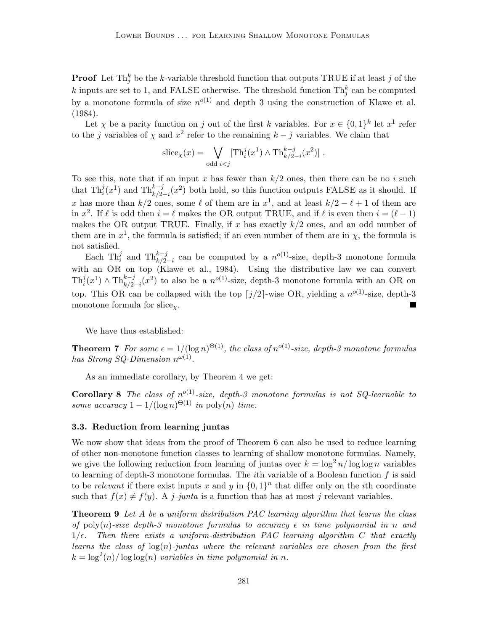**Proof** Let  $\text{Th}_j^k$  be the k-variable threshold function that outputs TRUE if at least j of the k inputs are set to 1, and FALSE otherwise. The threshold function  $\text{Th}_j^k$  can be computed by a monotone formula of size  $n^{o(1)}$  and depth 3 using the construction of [Klawe et al.](#page-17-12) [\(1984\)](#page-17-12).

Let  $\chi$  be a parity function on j out of the first k variables. For  $x \in \{0,1\}^k$  let  $x^1$  refer to the j variables of  $\chi$  and  $x^2$  refer to the remaining  $k - j$  variables. We claim that

$$
\operatorname{slice}_{\chi}(x) = \bigvee_{\operatorname{odd} i < j} [\operatorname{Th}_i^j(x^1) \wedge \operatorname{Th}_{k/2-i}^{k-j}(x^2)] .
$$

To see this, note that if an input x has fewer than  $k/2$  ones, then there can be no i such that  $\text{Th}_i^j(x^1)$  and  $\text{Th}_{k/2-i}^{k-j}(x^2)$  both hold, so this function outputs FALSE as it should. If x has more than  $k/2$  ones, some  $\ell$  of them are in  $x^1$ , and at least  $k/2 - \ell + 1$  of them are in  $x^2$ . If  $\ell$  is odd then  $i = \ell$  makes the OR output TRUE, and if  $\ell$  is even then  $i = (\ell - 1)$ makes the OR output TRUE. Finally, if x has exactly  $k/2$  ones, and an odd number of them are in  $x^1$ , the formula is satisfied; if an even number of them are in  $\chi$ , the formula is not satisfied.

Each Th<sup>i</sup><sub>i</sub> and Th<sup>k-j</sup><sub>i</sub> can be computed by a  $n^{o(1)}$ -size, depth-3 monotone formula with an OR on top [\(Klawe et al., 1984\)](#page-17-12). Using the distributive law we can convert  $\text{Th}_i^j(x) \wedge \text{Th}_{k/2-i}^{k-j}(x^2)$  to also be a  $n^{o(1)}$ -size, depth-3 monotone formula with an OR on top. This OR can be collapsed with the top  $j/2$ -wise OR, yielding a  $n^{o(1)}$ -size, depth-3 monotone formula for slice<sub>x</sub>.

We have thus established:

**Theorem 7** For some  $\epsilon = 1/(\log n)^{\Theta(1)}$ , the class of  $n^{o(1)}$ -size, depth-3 monotone formulas has Strong SQ-Dimension  $n^{\omega(1)}$ .

As an immediate corollary, by Theorem [4](#page-6-2) we get:

<span id="page-8-2"></span>**Corollary 8** The class of  $n^{o(1)}$ -size, depth-3 monotone formulas is not SQ-learnable to some accuracy  $1 - 1/(\log n)^{\Theta(1)}$  in poly $(n)$  time.

#### <span id="page-8-0"></span>3.3. Reduction from learning juntas

We now show that ideas from the proof of Theorem [6](#page-7-0) can also be used to reduce learning of other non-monotone function classes to learning of shallow monotone formulas. Namely, we give the following reduction from learning of juntas over  $k = \log^2 n / \log \log n$  variables to learning of depth-3 monotone formulas. The *i*th variable of a Boolean function  $f$  is said to be relevant if there exist inputs x and y in  $\{0, 1\}^n$  that differ only on the *i*th coordinate such that  $f(x) \neq f(y)$ . A j-junta is a function that has at most j relevant variables.

<span id="page-8-1"></span>**Theorem 9** Let A be a uniform distribution PAC learning algorithm that learns the class of poly(n)-size depth-3 monotone formulas to accuracy  $\epsilon$  in time polynomial in n and  $1/\epsilon$ . Then there exists a uniform-distribution PAC learning algorithm C that exactly learns the class of  $log(n)$ -juntas where the relevant variables are chosen from the first  $k = \log^2(n) / \log \log(n)$  variables in time polynomial in n.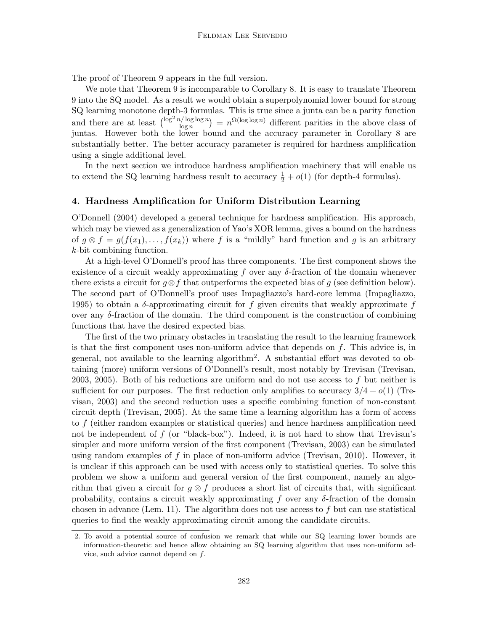The proof of Theorem [9](#page-8-1) appears in the full version.

We note that Theorem [9](#page-8-1) is incomparable to Corollary [8.](#page-8-2) It is easy to translate Theorem [9](#page-8-1) into the SQ model. As a result we would obtain a superpolynomial lower bound for strong SQ learning monotone depth-3 formulas. This is true since a junta can be a parity function and there are at least  $\left(\frac{\log^2 n/\log \log n}{\log n}\right)$  $\binom{n}{\log n}$  =  $n^{\Omega(\log \log n)}$  different parities in the above class of juntas. However both the lower bound and the accuracy parameter in Corollary [8](#page-8-2) are substantially better. The better accuracy parameter is required for hardness amplification using a single additional level.

In the next section we introduce hardness amplification machinery that will enable us to extend the SQ learning hardness result to accuracy  $\frac{1}{2} + o(1)$  (for depth-4 formulas).

# <span id="page-9-0"></span>4. Hardness Amplification for Uniform Distribution Learning

[O'Donnell](#page-17-0) [\(2004\)](#page-17-0) developed a general technique for hardness amplification. His approach, which may be viewed as a generalization of Yao's XOR lemma, gives a bound on the hardness of  $g \otimes f = g(f(x_1), \ldots, f(x_k))$  where f is a "mildly" hard function and g is an arbitrary k-bit combining function.

At a high-level O'Donnell's proof has three components. The first component shows the existence of a circuit weakly approximating f over any  $\delta$ -fraction of the domain whenever there exists a circuit for  $g \otimes f$  that outperforms the expected bias of g (see definition below). The second part of O'Donnell's proof uses Impagliazzo's hard-core lemma [\(Impagliazzo,](#page-17-13) [1995\)](#page-17-13) to obtain a  $\delta$ -approximating circuit for f given circuits that weakly approximate f over any  $\delta$ -fraction of the domain. The third component is the construction of combining functions that have the desired expected bias.

The first of the two primary obstacles in translating the result to the learning framework is that the first component uses non-uniform advice that depends on  $f$ . This advice is, in general, not available to the learning algorithm[2](#page-9-1) . A substantial effort was devoted to obtaining (more) uniform versions of O'Donnell's result, most notably by Trevisan [\(Trevisan,](#page-18-9) [2003,](#page-18-9) [2005\)](#page-18-10). Both of his reductions are uniform and do not use access to f but neither is sufficient for our purposes. The first reduction only amplifies to accuracy  $3/4 + o(1)$  [\(Tre](#page-18-9)[visan, 2003\)](#page-18-9) and the second reduction uses a specific combining function of non-constant circuit depth [\(Trevisan, 2005\)](#page-18-10). At the same time a learning algorithm has a form of access to f (either random examples or statistical queries) and hence hardness amplification need not be independent of  $f$  (or "black-box"). Indeed, it is not hard to show that Trevisan's simpler and more uniform version of the first component [\(Trevisan, 2003\)](#page-18-9) can be simulated using random examples of  $f$  in place of non-uniform advice [\(Trevisan, 2010\)](#page-18-11). However, it is unclear if this approach can be used with access only to statistical queries. To solve this problem we show a uniform and general version of the first component, namely an algorithm that given a circuit for  $g \otimes f$  produces a short list of circuits that, with significant probability, contains a circuit weakly approximating f over any  $\delta$ -fraction of the domain chosen in advance (Lem. [11\)](#page-11-0). The algorithm does not use access to  $f$  but can use statistical queries to find the weakly approximating circuit among the candidate circuits.

<span id="page-9-1"></span><sup>2.</sup> To avoid a potential source of confusion we remark that while our SQ learning lower bounds are information-theoretic and hence allow obtaining an SQ learning algorithm that uses non-uniform advice, such advice cannot depend on  $f$ .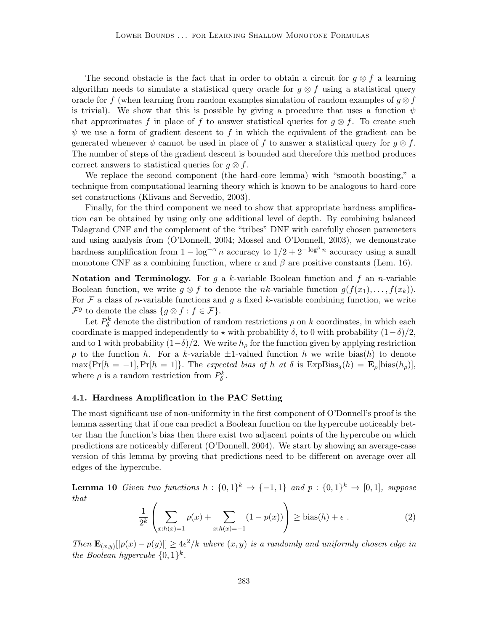The second obstacle is the fact that in order to obtain a circuit for  $g \otimes f$  a learning algorithm needs to simulate a statistical query oracle for  $q \otimes f$  using a statistical query oracle for f (when learning from random examples simulation of random examples of  $g \otimes f$ is trivial). We show that this is possible by giving a procedure that uses a function  $\psi$ that approximates f in place of f to answer statistical queries for  $g \otimes f$ . To create such  $\psi$  we use a form of gradient descent to f in which the equivalent of the gradient can be generated whenever  $\psi$  cannot be used in place of f to answer a statistical query for  $g \otimes f$ . The number of steps of the gradient descent is bounded and therefore this method produces correct answers to statistical queries for  $q \otimes f$ .

We replace the second component (the hard-core lemma) with "smooth boosting," a technique from computational learning theory which is known to be analogous to hard-core set constructions [\(Klivans and Servedio, 2003\)](#page-17-14).

Finally, for the third component we need to show that appropriate hardness amplification can be obtained by using only one additional level of depth. By combining balanced Talagrand CNF and the complement of the "tribes" DNF with carefully chosen parameters and using analysis from [\(O'Donnell, 2004;](#page-17-0) [Mossel and O'Donnell, 2003\)](#page-17-11), we demonstrate hardness amplification from  $1 - \log^{-\alpha} n$  accuracy to  $1/2 + 2^{-\log^{\beta} n}$  accuracy using a small monotone CNF as a combining function, where  $\alpha$  and  $\beta$  are positive constants (Lem. [16\)](#page-15-1).

**Notation and Terminology.** For g a k-variable Boolean function and f an n-variable Boolean function, we write  $g \otimes f$  to denote the nk-variable function  $g(f(x_1), \ldots, f(x_k))$ . For  $\mathcal F$  a class of *n*-variable functions and q a fixed k-variable combining function, we write  $\mathcal{F}^g$  to denote the class  $\{g \otimes f : f \in \mathcal{F}\}.$ 

Let  $P_{\delta}^{k}$  denote the distribution of random restrictions  $\rho$  on k coordinates, in which each coordinate is mapped independently to  $\star$  with probability  $\delta$ , to 0 with probability  $(1-\delta)/2$ , and to 1 with probability  $(1-\delta)/2$ . We write  $h<sub>o</sub>$  for the function given by applying restriction  $\rho$  to the function h. For a k-variable  $\pm 1$ -valued function h we write bias(h) to denote  $\max\{\Pr[h = -1], \Pr[h = 1]\}.$  The expected bias of h at  $\delta$  is  $\text{ExpBias}_{\delta}(h) = \mathbf{E}_{\rho}[\text{bias}(h_{\rho})],$ where  $\rho$  is a random restriction from  $P^k_{\delta}$ .

### 4.1. Hardness Amplification in the PAC Setting

The most significant use of non-uniformity in the first component of O'Donnell's proof is the lemma asserting that if one can predict a Boolean function on the hypercube noticeably better than the function's bias then there exist two adjacent points of the hypercube on which predictions are noticeably different [\(O'Donnell, 2004\)](#page-17-0). We start by showing an average-case version of this lemma by proving that predictions need to be different on average over all edges of the hypercube.

**Lemma 10** Given two functions  $h: \{0,1\}^k \to \{-1,1\}$  and  $p: \{0,1\}^k \to [0,1]$ , suppose that

<span id="page-10-0"></span>
$$
\frac{1}{2^k} \left( \sum_{x:h(x)=1} p(x) + \sum_{x:h(x)=-1} (1 - p(x)) \right) \ge \text{bias}(h) + \epsilon \ . \tag{2}
$$

Then  $\mathbf{E}_{(x,y)}[|p(x)-p(y)|] \geq 4\epsilon^2/k$  where  $(x,y)$  is a randomly and uniformly chosen edge in the Boolean hypercube  $\{0,1\}^k$ .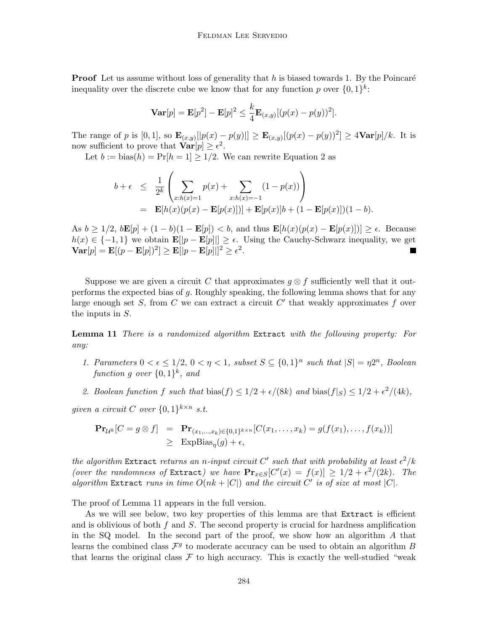**Proof** Let us assume without loss of generality that  $h$  is biased towards 1. By the Poincaré inequality over the discrete cube we know that for any function p over  $\{0,1\}^k$ :

$$
\mathbf{Var}[p] = \mathbf{E}[p^2] - \mathbf{E}[p]^2 \leq \frac{k}{4} \mathbf{E}_{(x,y)}[(p(x) - p(y))^2].
$$

The range of p is [0, 1], so  $\mathbf{E}_{(x,y)}[p(x) - p(y)] \geq \mathbf{E}_{(x,y)}[(p(x) - p(y))^2] \geq 4\mathbf{Var}[p]/k$ . It is now sufficient to prove that  $\text{Var}[p] \geq \epsilon^2$ .

Let  $b := \text{bias}(h) = \Pr[h = 1] \geq 1/2$ . We can rewrite Equation [2](#page-10-0) as

$$
b + \epsilon \leq \frac{1}{2^k} \left( \sum_{x:h(x)=1} p(x) + \sum_{x:h(x)=-1} (1 - p(x)) \right)
$$
  
=  $\mathbf{E}[h(x)(p(x) - \mathbf{E}[p(x)])] + \mathbf{E}[p(x)]b + (1 - \mathbf{E}[p(x)])(1 - b).$ 

As  $b \geq 1/2$ ,  $b\mathbf{E}[p] + (1 - b)(1 - \mathbf{E}[p]) < b$ , and thus  $\mathbf{E}[h(x)(p(x) - \mathbf{E}[p(x)])] \geq \epsilon$ . Because  $h(x) \in \{-1,1\}$  we obtain  $\mathbf{E}[\|p - \mathbf{E}[p]\|] \geq \epsilon$ . Using the Cauchy-Schwarz inequality, we get  $\mathbf{Var}[p] = \mathbf{E}[(p - \mathbf{E}[p])^2] \geq \mathbf{E}[|p - \mathbf{E}[p]||^2 \geq \epsilon^2).$  $\Box$ 

Suppose we are given a circuit C that approximates  $q \otimes f$  sufficiently well that it outperforms the expected bias of g. Roughly speaking, the following lemma shows that for any large enough set S, from C we can extract a circuit  $C'$  that weakly approximates f over the inputs in S.

<span id="page-11-0"></span>**Lemma 11** There is a randomized algorithm Extract with the following property: For any:

- 1. Parameters  $0 < \epsilon \leq 1/2$ ,  $0 < \eta < 1$ , subset  $S \subseteq \{0,1\}^n$  such that  $|S| = \eta 2^n$ , Boolean function g over  $\{0,1\}^k$ , and
- 2. Boolean function f such that  $\text{bias}(f) \leq 1/2 + \epsilon/(8k)$  and  $\text{bias}(f|_S) \leq 1/2 + \epsilon^2/(4k)$ ,

given a circuit C over  $\{0,1\}^{k \times n}$  s.t.

$$
\begin{array}{rcl}\n\mathbf{Pr}_{\mathcal{U}^k}[C = g \otimes f] & = & \mathbf{Pr}_{(x_1, \dots, x_k) \in \{0, 1\}^{k \times n}}[C(x_1, \dots, x_k) = g(f(x_1), \dots, f(x_k))] \\
& \geq & \text{ExpBias}_{\eta}(g) + \epsilon,\n\end{array}
$$

the algorithm Extract returns an n-input circuit C' such that with probability at least  $\epsilon^2/k$ (over the randomness of Extract) we have  $\mathbf{Pr}_{x \in S}[C'(x) = f(x)] \geq 1/2 + \epsilon^2/(2k)$ . The algorithm Extract runs in time  $O(nk + |C|)$  and the circuit C' is of size at most |C|.

The proof of Lemma [11](#page-11-0) appears in the full version.

As we will see below, two key properties of this lemma are that Extract is efficient and is oblivious of both  $f$  and  $S$ . The second property is crucial for hardness amplification in the SQ model. In the second part of the proof, we show how an algorithm A that learns the combined class  $\mathcal{F}^g$  to moderate accuracy can be used to obtain an algorithm B that learns the original class  $\mathcal F$  to high accuracy. This is exactly the well-studied "weak"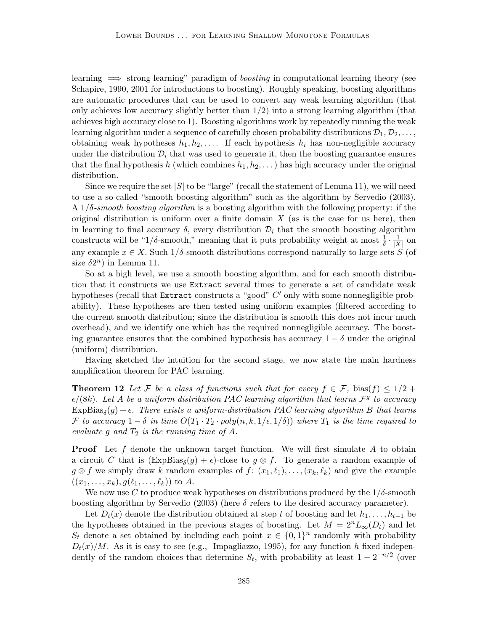learning  $\implies$  strong learning" paradigm of *boosting* in computational learning theory (see [Schapire, 1990,](#page-18-12) [2001](#page-18-13) for introductions to boosting). Roughly speaking, boosting algorithms are automatic procedures that can be used to convert any weak learning algorithm (that only achieves low accuracy slightly better than  $1/2$ ) into a strong learning algorithm (that achieves high accuracy close to 1). Boosting algorithms work by repeatedly running the weak learning algorithm under a sequence of carefully chosen probability distributions  $\mathcal{D}_1, \mathcal{D}_2, \ldots$ , obtaining weak hypotheses  $h_1, h_2, \ldots$  If each hypothesis  $h_i$  has non-negligible accuracy under the distribution  $\mathcal{D}_i$  that was used to generate it, then the boosting guarantee ensures that the final hypothesis h (which combines  $h_1, h_2, \ldots$ ) has high accuracy under the original distribution.

Since we require the set  $|S|$  to be "large" (recall the statement of Lemma [11\)](#page-11-0), we will need to use a so-called "smooth boosting algorithm" such as the algorithm by [Servedio](#page-18-14) [\(2003\)](#page-18-14).  $A_1/\delta$ -smooth boosting algorithm is a boosting algorithm with the following property: if the original distribution is uniform over a finite domain  $X$  (as is the case for us here), then in learning to final accuracy  $\delta$ , every distribution  $\mathcal{D}_i$  that the smooth boosting algorithm constructs will be " $1/\delta$ -smooth," meaning that it puts probability weight at most  $\frac{1}{\delta} \cdot \frac{1}{|X|}$  $\frac{1}{|X|}$  on any example  $x \in X$ . Such  $1/\delta$ -smooth distributions correspond naturally to large sets S (of size  $\delta 2^n$ ) in Lemma [11.](#page-11-0)

So at a high level, we use a smooth boosting algorithm, and for each smooth distribution that it constructs we use Extract several times to generate a set of candidate weak hypotheses (recall that Extract constructs a "good"  $C'$  only with some nonnegligible probability). These hypotheses are then tested using uniform examples (filtered according to the current smooth distribution; since the distribution is smooth this does not incur much overhead), and we identify one which has the required nonnegligible accuracy. The boosting guarantee ensures that the combined hypothesis has accuracy  $1 - \delta$  under the original (uniform) distribution.

Having sketched the intuition for the second stage, we now state the main hardness amplification theorem for PAC learning.

<span id="page-12-0"></span>**Theorem 12** Let F be a class of functions such that for every  $f \in \mathcal{F}$ , bias(f)  $\leq 1/2$  +  $\epsilon/(8k)$ . Let A be a uniform distribution PAC learning algorithm that learns  $\mathcal{F}^g$  to accuracy  $\mathrm{ExpBias}_\delta(g) + \epsilon$ . There exists a uniform-distribution PAC learning algorithm B that learns F to accuracy  $1 - \delta$  in time  $O(T_1 \cdot T_2 \cdot poly(n, k, 1/\epsilon, 1/\delta))$  where  $T_1$  is the time required to evaluate g and  $T_2$  is the running time of A.

**Proof** Let f denote the unknown target function. We will first simulate A to obtain a circuit C that is  $(\text{ExpBias}_{\delta}(g) + \epsilon)$ -close to  $g \otimes f$ . To generate a random example of  $g \otimes f$  we simply draw k random examples of  $f: (x_1, \ell_1), \ldots, (x_k, \ell_k)$  and give the example  $((x_1, \ldots, x_k), g(\ell_1, \ldots, \ell_k))$  to A.

We now use C to produce weak hypotheses on distributions produced by the  $1/\delta$ -smooth boosting algorithm by [Servedio](#page-18-14) [\(2003\)](#page-18-14) (here  $\delta$  refers to the desired accuracy parameter).

Let  $D_t(x)$  denote the distribution obtained at step t of boosting and let  $h_1, \ldots, h_{t-1}$  be the hypotheses obtained in the previous stages of boosting. Let  $M = 2^{n}L_{\infty}(D_t)$  and let  $S_t$  denote a set obtained by including each point  $x \in \{0,1\}^n$  randomly with probability  $D_t(x)/M$ . As it is easy to see (e.g., [Impagliazzo, 1995\)](#page-17-13), for any function h fixed independently of the random choices that determine  $S_t$ , with probability at least  $1 - 2^{-n/2}$  (over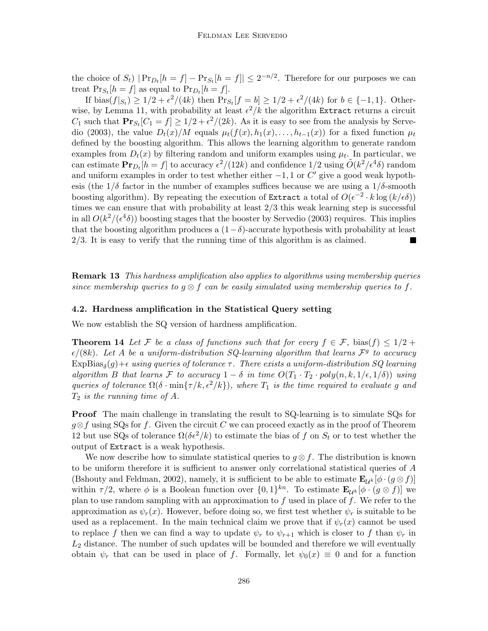the choice of  $S_t$ )  $|\Pr_{D_t}[h = f] - \Pr_{S_t}[h = f]| \leq 2^{-n/2}$ . Therefore for our purposes we can treat  $Pr_{S_t}[h = f]$  as equal to  $Pr_{D_t}[h = f]$ .

If  $\text{bias}(f|_{S_t}) \geq 1/2 + \epsilon^2/(4k)$  then  $\text{Pr}_{S_t}[f = b] \geq 1/2 + \epsilon^2/(4k)$  for  $b \in \{-1, 1\}$ . Other-wise, by Lemma [11,](#page-11-0) with probability at least  $\epsilon^2/k$  the algorithm Extract returns a circuit  $C_1$  such that  $\mathbf{Pr}_{S_t}[C_1 = f] \ge 1/2 + \epsilon^2/(2k)$ . As it is easy to see from the analysis by [Serve](#page-18-14)[dio](#page-18-14) [\(2003\)](#page-18-14), the value  $D_t(x)/M$  equals  $\mu_t(f(x), h_1(x), \ldots, h_{t-1}(x))$  for a fixed function  $\mu_t$ defined by the boosting algorithm. This allows the learning algorithm to generate random examples from  $D_t(x)$  by filtering random and uniform examples using  $\mu_t$ . In particular, we can estimate  $\mathbf{Pr}_{D_t}[h=f]$  to accuracy  $\epsilon^2/(12k)$  and confidence  $1/2$  using  $\tilde{O}(k^2/\epsilon^4\delta)$  random and uniform examples in order to test whether either  $-1$ , 1 or  $C'$  give a good weak hypothesis (the  $1/\delta$  factor in the number of examples suffices because we are using a  $1/\delta$ -smooth boosting algorithm). By repeating the execution of Extract a total of  $O(\epsilon^{-2} \cdot k \log(k/\epsilon \delta))$ times we can ensure that with probability at least 2/3 this weak learning step is successful in all  $O(k^2/(\epsilon^4\delta))$  boosting stages that the booster by [Servedio](#page-18-14) [\(2003\)](#page-18-14) requires. This implies that the boosting algorithm produces a  $(1-\delta)$ -accurate hypothesis with probability at least  $2/3$ . It is easy to verify that the running time of this algorithm is as claimed.

**Remark 13** This hardness amplification also applies to algorithms using membership queries since membership queries to  $q \otimes f$  can be easily simulated using membership queries to f.

#### 4.2. Hardness amplification in the Statistical Query setting

<span id="page-13-0"></span>We now establish the SQ version of hardness amplification.

**Theorem 14** Let F be a class of functions such that for every  $f \in \mathcal{F}$ , bias(f)  $\leq 1/2 + 1$  $\epsilon/(8k)$ . Let A be a uniform-distribution SQ-learning algorithm that learns  $\mathcal{F}^g$  to accuracy  $\mathrm{ExpBias}_\delta(g)+\epsilon$  using queries of tolerance  $\tau$  . There exists a uniform-distribution SQ learning algorithm B that learns F to accuracy  $1 - \delta$  in time  $O(T_1 \cdot T_2 \cdot poly(n, k, 1/\epsilon, 1/\delta))$  using queries of tolerance  $\Omega(\delta \cdot \min\{\tau/k, \epsilon^2/k\})$ , where  $T_1$  is the time required to evaluate g and  $T_2$  is the running time of A.

**Proof** The main challenge in translating the result to SQ-learning is to simulate SQs for  $g \otimes f$  using SQs for f. Given the circuit C we can proceed exactly as in the proof of Theorem [12](#page-12-0) but use SQs of tolerance  $\Omega(\delta \epsilon^2 / k)$  to estimate the bias of f on  $S_t$  or to test whether the output of Extract is a weak hypothesis.

We now describe how to simulate statistical queries to  $g \otimes f$ . The distribution is known to be uniform therefore it is sufficient to answer only correlational statistical queries of A [\(Bshouty and Feldman, 2002\)](#page-16-12), namely, it is sufficient to be able to estimate  $\mathbf{E}_{\mathcal{U}^k}[\phi \cdot (g \otimes f)]$ within  $\tau/2$ , where  $\phi$  is a Boolean function over  $\{0,1\}^{kn}$ . To estimate  $\mathbf{E}_{\mathcal{U}^k}[\phi \cdot (g \otimes f)]$  we plan to use random sampling with an approximation to  $f$  used in place of  $f$ . We refer to the approximation as  $\psi_r(x)$ . However, before doing so, we first test whether  $\psi_r$  is suitable to be used as a replacement. In the main technical claim we prove that if  $\psi_r(x)$  cannot be used to replace f then we can find a way to update  $\psi_r$  to  $\psi_{r+1}$  which is closer to f than  $\psi_r$  in  $L_2$  distance. The number of such updates will be bounded and therefore we will eventually obtain  $\psi_r$  that can be used in place of f. Formally, let  $\psi_0(x) \equiv 0$  and for a function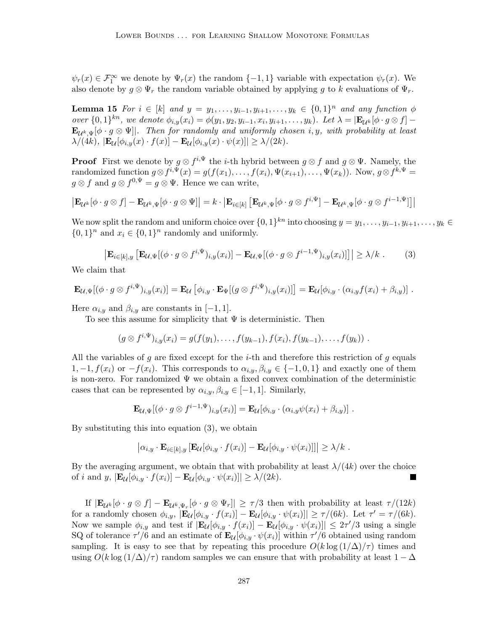$\psi_r(x) \in \mathcal{F}_1^{\infty}$  we denote by  $\Psi_r(x)$  the random  $\{-1,1\}$  variable with expectation  $\psi_r(x)$ . We also denote by  $g \otimes \Psi_r$  the random variable obtained by applying g to k evaluations of  $\Psi_r$ .

**Lemma 15** For  $i \in [k]$  and  $y = y_1, \ldots, y_{i-1}, y_{i+1}, \ldots, y_k \in \{0, 1\}^n$  and any function  $\phi$ over  $\{0,1\}^{kn}$ , we denote  $\phi_{i,y}(x_i) = \phi(y_1, y_2, y_{i-1}, x_i, y_{i+1}, \ldots, y_k)$ . Let  $\lambda = |\mathbf{E}_{\mathcal{U}^k}[\phi \cdot g \otimes f]$  $\mathbf{E}_{\mathcal{U}^k,\Psi}[\phi \cdot g \otimes \Psi]$ . Then for randomly and uniformly chosen i, y, with probability at least  $\lambda/(4k)$ ,  $|\mathbf{E}_{\mathcal{U}}[\phi_{i,y}(x) \cdot f(x)] - \mathbf{E}_{\mathcal{U}}[\phi_{i,y}(x) \cdot \psi(x)]| \geq \lambda/(2k).$ 

**Proof** First we denote by  $g \otimes f^{i,\Psi}$  the *i*-th hybrid between  $g \otimes f$  and  $g \otimes \Psi$ . Namely, the randomized function  $g \otimes f^{i,\Psi}(x) = g(f(x_1), \ldots, f(x_i), \Psi(x_{i+1}), \ldots, \Psi(x_k))$ . Now,  $g \otimes f^{k,\Psi} =$  $g \otimes f$  and  $g \otimes f^{0,\Psi} = g \otimes \Psi$ . Hence we can write,

$$
\left| \mathbf{E}_{\mathcal{U}^k} [\phi \cdot g \otimes f] - \mathbf{E}_{\mathcal{U}^k, \Psi} [\phi \cdot g \otimes \Psi] \right| = k \cdot \left| \mathbf{E}_{i \in [k]} \left[ \mathbf{E}_{\mathcal{U}^k, \Psi} [\phi \cdot g \otimes f^{i, \Psi}] - \mathbf{E}_{\mathcal{U}^k, \Psi} [\phi \cdot g \otimes f^{i-1, \Psi}] \right] \right|
$$

We now split the random and uniform choice over  $\{0,1\}^{kn}$  into choosing  $y = y_1, \ldots, y_{i-1}, y_{i+1}, \ldots, y_k \in$  $\{0,1\}^n$  and  $x_i \in \{0,1\}^n$  randomly and uniformly.

<span id="page-14-0"></span>
$$
\left| \mathbf{E}_{i \in [k], y} \left[ \mathbf{E}_{\mathcal{U}, \Psi} [(\phi \cdot g \otimes f^{i, \Psi})_{i, y}(x_i)] - \mathbf{E}_{\mathcal{U}, \Psi} [(\phi \cdot g \otimes f^{i-1, \Psi})_{i, y}(x_i)] \right] \right| \geq \lambda / k . \tag{3}
$$

We claim that

$$
\mathbf{E}_{\mathcal{U},\Psi}[(\phi\cdot g\otimes f^{i,\Psi})_{i,y}(x_i)] = \mathbf{E}_{\mathcal{U}}[\phi_{i,y}\cdot\mathbf{E}_{\Psi}[(g\otimes f^{i,\Psi})_{i,y}(x_i)]] = \mathbf{E}_{\mathcal{U}}[\phi_{i,y}\cdot(\alpha_{i,y}f(x_i)+\beta_{i,y})].
$$

Here  $\alpha_{i,y}$  and  $\beta_{i,y}$  are constants in [-1, 1].

To see this assume for simplicity that  $\Psi$  is deterministic. Then

$$
(g \otimes f^{i,\Psi})_{i,y}(x_i) = g(f(y_1),\ldots,f(y_{k-1}),f(x_i),f(y_{k-1}),\ldots,f(y_k)).
$$

All the variables of g are fixed except for the *i*-th and therefore this restriction of g equals 1, -1,  $f(x_i)$  or  $-f(x_i)$ . This corresponds to  $\alpha_{i,y}, \beta_{i,y} \in \{-1,0,1\}$  and exactly one of them is non-zero. For randomized  $\Psi$  we obtain a fixed convex combination of the deterministic cases that can be represented by  $\alpha_{i,y}, \beta_{i,y} \in [-1,1]$ . Similarly,

$$
\mathbf{E}_{\mathcal{U},\Psi}[(\phi \cdot g \otimes f^{i-1,\Psi})_{i,y}(x_i)] = \mathbf{E}_{\mathcal{U}}[\phi_{i,y} \cdot (\alpha_{i,y}\psi(x_i) + \beta_{i,y})].
$$

By substituting this into equation [\(3\)](#page-14-0), we obtain

$$
\left| \alpha_{i,y} \cdot \mathbf{E}_{i \in [k],y} \left[ \mathbf{E}_{\mathcal{U}}[\phi_{i,y} \cdot f(x_i)] - \mathbf{E}_{\mathcal{U}}[\phi_{i,y} \cdot \psi(x_i)] \right] \right| \geq \lambda/k.
$$

By the averaging argument, we obtain that with probability at least  $\lambda/(4k)$  over the choice of i and y,  $|\mathbf{E}_{\mathcal{U}}[\phi_{i,y} \cdot f(x_i)] - \mathbf{E}_{\mathcal{U}}[\phi_{i,y} \cdot \psi(x_i)]| \geq \lambda/(2k).$ 

If  $|\mathbf{E}_{\mathcal{U}^k}[\phi \cdot g \otimes f] - \mathbf{E}_{\mathcal{U}^k, \Psi_r}[\phi \cdot g \otimes \Psi_r]| \geq \tau/3$  then with probability at least  $\tau/(12k)$ for a randomly chosen  $\phi_{i,y}$ ,  $|\mathbf{E}_{\mathcal{U}}[\phi_{i,y} \cdot f(x_i)] - \mathbf{E}_{\mathcal{U}}[\phi_{i,y} \cdot \psi(x_i)]| \ge \tau/(6k)$ . Let  $\tau' = \tau/(6k)$ . Now we sample  $\phi_{i,y}$  and test if  $|\mathbf{E}_{\mathcal{U}}[\phi_{i,y} \cdot f(x_i)] - \mathbf{E}_{\mathcal{U}}[\phi_{i,y} \cdot \psi(x_i)]| \leq 2\tau/3$  using a single SQ of tolerance  $\tau'/6$  and an estimate of  $\mathbf{E}_{\mathcal{U}}[\phi_{i,y} \cdot \psi(x_i)]$  within  $\tau'/6$  obtained using random sampling. It is easy to see that by repeating this procedure  $O(k \log(1/\Delta)/\tau)$  times and using  $O(k \log(1/\Delta)/\tau)$  random samples we can ensure that with probability at least  $1-\Delta$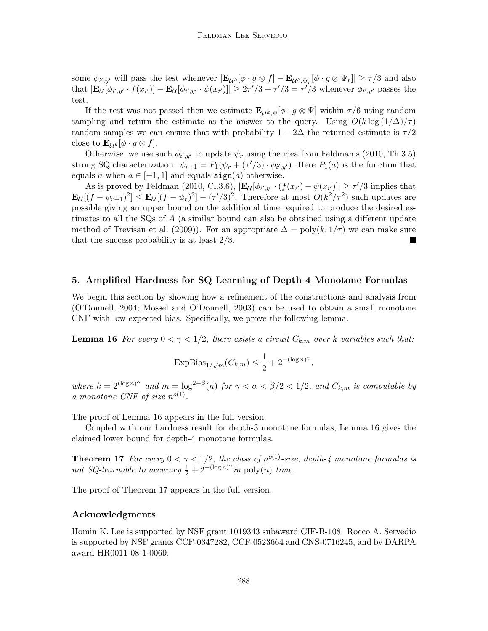some  $\phi_{i',y'}$  will pass the test whenever  $|\mathbf{E}_{\mathcal{U}^k}[\phi \cdot g \otimes f] - \mathbf{E}_{\mathcal{U}^k, \Psi_r}[\phi \cdot g \otimes \Psi_r]| \ge \tau/3$  and also that  $|\mathbf{E}_{\mathcal{U}}[\phi_{i',y'}\cdot f(x_{i'})]-\mathbf{E}_{\mathcal{U}}[\phi_{i',y'}\cdot \psi(x_{i'})]|\geq 2\tau'/3-\tau'/3=\tau'/3$  whenever  $\phi_{i',y'}$  passes the test.

If the test was not passed then we estimate  $\mathbf{E}_{\mathcal{U}^k, \Psi}[\phi \cdot g \otimes \Psi]$  within  $\tau/6$  using random sampling and return the estimate as the answer to the query. Using  $O(k \log (1/\Delta)/\tau)$ random samples we can ensure that with probability  $1 - 2\Delta$  the returned estimate is  $\tau/2$ close to  $\mathbf{E}_{\mathcal{U}^k}[\phi \cdot g \otimes f].$ 

Otherwise, we use such  $\phi_{i',y'}$  to update  $\psi_r$  using the idea from Feldman's [\(2010,](#page-17-8) Th.3.5) strong SQ characterization:  $\psi_{r+1} = P_1(\psi_r + (\tau/3) \cdot \phi_{i',y'})$ . Here  $P_1(a)$  is the function that equals a when  $a \in [-1, 1]$  and equals  $sign(a)$  otherwise.

As is proved by [Feldman](#page-17-8) [\(2010,](#page-17-8) Cl.3.6),  $|\mathbf{E}_{\mathcal{U}}[\phi_{i',y'}\cdot (f(x_{i'}) - \psi(x_{i'})]| \ge \tau'/3$  implies that  $\mathbf{E}_{\mathcal{U}}[(f - \psi_{r+1})^2] \leq \mathbf{E}_{\mathcal{U}}[(f - \psi_r)^2] - (\tau'/3)^2$ . Therefore at most  $O(k^2/\tau^2)$  such updates are possible giving an upper bound on the additional time required to produce the desired estimates to all the SQs of A (a similar bound can also be obtained using a different update method of [Trevisan et al.](#page-18-15) [\(2009\)](#page-18-15)). For an appropriate  $\Delta = \text{poly}(k, 1/\tau)$  we can make sure that the success probability is at least 2/3.

### <span id="page-15-0"></span>5. Amplified Hardness for SQ Learning of Depth-4 Monotone Formulas

We begin this section by showing how a refinement of the constructions and analysis from [\(O'Donnell, 2004;](#page-17-0) [Mossel and O'Donnell, 2003\)](#page-17-11) can be used to obtain a small monotone CNF with low expected bias. Specifically, we prove the following lemma.

<span id="page-15-1"></span>**Lemma 16** For every  $0 < \gamma < 1/2$ , there exists a circuit  $C_{k,m}$  over k variables such that:

$$
\text{ExpBias}_{1/\sqrt{m}}(C_{k,m}) \le \frac{1}{2} + 2^{-(\log n)^{\gamma}},
$$

where  $k = 2^{(\log n)^{\alpha}}$  and  $m = \log^{2-\beta}(n)$  for  $\gamma < \alpha < \beta/2 < 1/2$ , and  $C_{k,m}$  is computable by a monotone CNF of size  $n^{o(1)}$ .

The proof of Lemma [16](#page-15-1) appears in the full version.

Coupled with our hardness result for depth-3 monotone formulas, Lemma [16](#page-15-1) gives the claimed lower bound for depth-4 monotone formulas.

<span id="page-15-2"></span>**Theorem 17** For every  $0 < \gamma < 1/2$ , the class of  $n^{o(1)}$ -size, depth-4 monotone formulas is not SQ-learnable to accuracy  $\frac{1}{2} + 2^{-(\log n)^{\gamma}}$  in poly $(n)$  time.

The proof of Theorem [17](#page-15-2) appears in the full version.

#### Acknowledgments

Homin K. Lee is supported by NSF grant 1019343 subaward CIF-B-108. Rocco A. Servedio is supported by NSF grants CCF-0347282, CCF-0523664 and CNS-0716245, and by DARPA award HR0011-08-1-0069.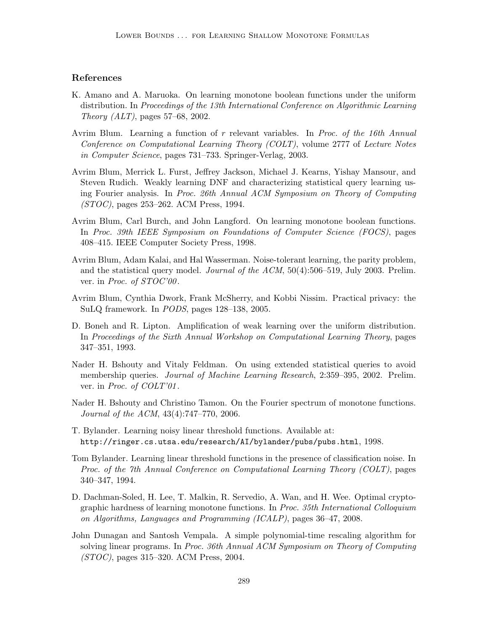# References

- <span id="page-16-0"></span>K. Amano and A. Maruoka. On learning monotone boolean functions under the uniform distribution. In Proceedings of the 13th International Conference on Algorithmic Learning Theory  $(ALT)$ , pages 57–68, 2002.
- <span id="page-16-10"></span>Avrim Blum. Learning a function of r relevant variables. In Proc. of the 16th Annual Conference on Computational Learning Theory (COLT), volume 2777 of Lecture Notes in Computer Science, pages 731–733. Springer-Verlag, 2003.
- <span id="page-16-9"></span>Avrim Blum, Merrick L. Furst, Jeffrey Jackson, Michael J. Kearns, Yishay Mansour, and Steven Rudich. Weakly learning DNF and characterizing statistical query learning using Fourier analysis. In Proc. 26th Annual ACM Symposium on Theory of Computing (STOC), pages 253–262. ACM Press, 1994.
- <span id="page-16-1"></span>Avrim Blum, Carl Burch, and John Langford. On learning monotone boolean functions. In Proc. 39th IEEE Symposium on Foundations of Computer Science (FOCS), pages 408–415. IEEE Computer Society Press, 1998.
- <span id="page-16-7"></span>Avrim Blum, Adam Kalai, and Hal Wasserman. Noise-tolerant learning, the parity problem, and the statistical query model. Journal of the ACM, 50(4):506–519, July 2003. Prelim. ver. in *Proc. of STOC'00*.
- <span id="page-16-8"></span>Avrim Blum, Cynthia Dwork, Frank McSherry, and Kobbi Nissim. Practical privacy: the SuLQ framework. In PODS, pages 128–138, 2005.
- <span id="page-16-11"></span>D. Boneh and R. Lipton. Amplification of weak learning over the uniform distribution. In Proceedings of the Sixth Annual Workshop on Computational Learning Theory, pages 347–351, 1993.
- <span id="page-16-12"></span>Nader H. Bshouty and Vitaly Feldman. On using extended statistical queries to avoid membership queries. Journal of Machine Learning Research, 2:359–395, 2002. Prelim. ver. in *Proc. of COLT'01*.
- <span id="page-16-2"></span>Nader H. Bshouty and Christino Tamon. On the Fourier spectrum of monotone functions. Journal of the ACM, 43(4):747–770, 2006.
- <span id="page-16-5"></span>T. Bylander. Learning noisy linear threshold functions. Available at: http://ringer.cs.utsa.edu/research/AI/bylander/pubs/pubs.html, 1998.
- <span id="page-16-4"></span>Tom Bylander. Learning linear threshold functions in the presence of classification noise. In Proc. of the 7th Annual Conference on Computational Learning Theory (COLT), pages 340–347, 1994.
- <span id="page-16-3"></span>D. Dachman-Soled, H. Lee, T. Malkin, R. Servedio, A. Wan, and H. Wee. Optimal cryptographic hardness of learning monotone functions. In Proc. 35th International Colloquium on Algorithms, Languages and Programming (ICALP), pages 36–47, 2008.
- <span id="page-16-6"></span>John Dunagan and Santosh Vempala. A simple polynomial-time rescaling algorithm for solving linear programs. In Proc. 36th Annual ACM Symposium on Theory of Computing (STOC), pages 315–320. ACM Press, 2004.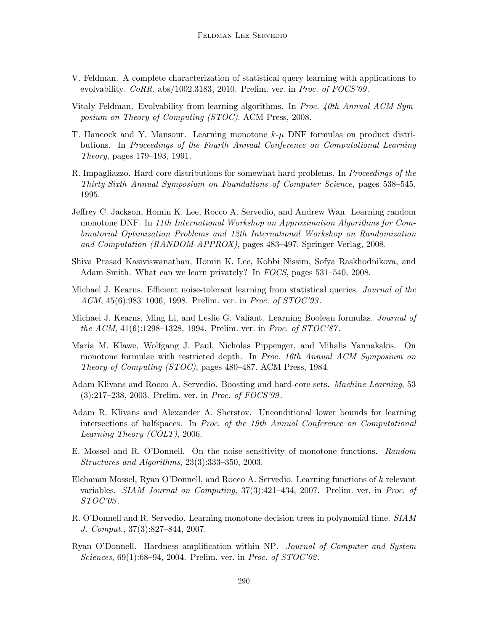- <span id="page-17-8"></span>V. Feldman. A complete characterization of statistical query learning with applications to evolvability. CoRR, abs/1002.3183, 2010. Prelim. ver. in Proc. of FOCS'09.
- <span id="page-17-7"></span>Vitaly Feldman. Evolvability from learning algorithms. In Proc. 40th Annual ACM Symposium on Theory of Computing (STOC). ACM Press, 2008.
- <span id="page-17-1"></span>T. Hancock and Y. Mansour. Learning monotone  $k-\mu$  DNF formulas on product distributions. In Proceedings of the Fourth Annual Conference on Computational Learning Theory, pages 179–193, 1991.
- <span id="page-17-13"></span>R. Impagliazzo. Hard-core distributions for somewhat hard problems. In *Proceedings of the* Thirty-Sixth Annual Symposium on Foundations of Computer Science, pages 538–545, 1995.
- <span id="page-17-2"></span>Jeffrey C. Jackson, Homin K. Lee, Rocco A. Servedio, and Andrew Wan. Learning random monotone DNF. In 11th International Workshop on Approximation Algorithms for Combinatorial Optimization Problems and 12th International Workshop on Randomization and Computation (RANDOM-APPROX), pages 483–497. Springer-Verlag, 2008.
- <span id="page-17-6"></span>Shiva Prasad Kasiviswanathan, Homin K. Lee, Kobbi Nissim, Sofya Raskhodnikova, and Adam Smith. What can we learn privately? In FOCS, pages 531–540, 2008.
- <span id="page-17-5"></span>Michael J. Kearns. Efficient noise-tolerant learning from statistical queries. *Journal of the* ACM, 45(6):983–1006, 1998. Prelim. ver. in Proc. of STOC'93.
- <span id="page-17-3"></span>Michael J. Kearns, Ming Li, and Leslie G. Valiant. Learning Boolean formulas. Journal of the ACM, 41(6):1298–1328, 1994. Prelim. ver. in Proc. of STOC'87 .
- <span id="page-17-12"></span>Maria M. Klawe, Wolfgang J. Paul, Nicholas Pippenger, and Mihalis Yannakakis. On monotone formulae with restricted depth. In Proc. 16th Annual ACM Symposium on Theory of Computing (STOC), pages 480–487. ACM Press, 1984.
- <span id="page-17-14"></span>Adam Klivans and Rocco A. Servedio. Boosting and hard-core sets. Machine Learning, 53 (3):217–238, 2003. Prelim. ver. in Proc. of FOCS'99 .
- <span id="page-17-9"></span>Adam R. Klivans and Alexander A. Sherstov. Unconditional lower bounds for learning intersections of halfspaces. In Proc. of the 19th Annual Conference on Computational Learning Theory (COLT), 2006.
- <span id="page-17-11"></span>E. Mossel and R. O'Donnell. On the noise sensitivity of monotone functions. Random Structures and Algorithms, 23(3):333–350, 2003.
- <span id="page-17-10"></span>Elchanan Mossel, Ryan O'Donnell, and Rocco A. Servedio. Learning functions of k relevant variables. SIAM Journal on Computing, 37(3):421–434, 2007. Prelim. ver. in Proc. of  $STOC'03$ .
- <span id="page-17-4"></span>R. O'Donnell and R. Servedio. Learning monotone decision trees in polynomial time. SIAM J. Comput., 37(3):827–844, 2007.
- <span id="page-17-0"></span>Ryan O'Donnell. Hardness amplification within NP. Journal of Computer and System Sciences,  $69(1):68-94$ , 2004. Prelim. ver. in *Proc. of STOC*'02.